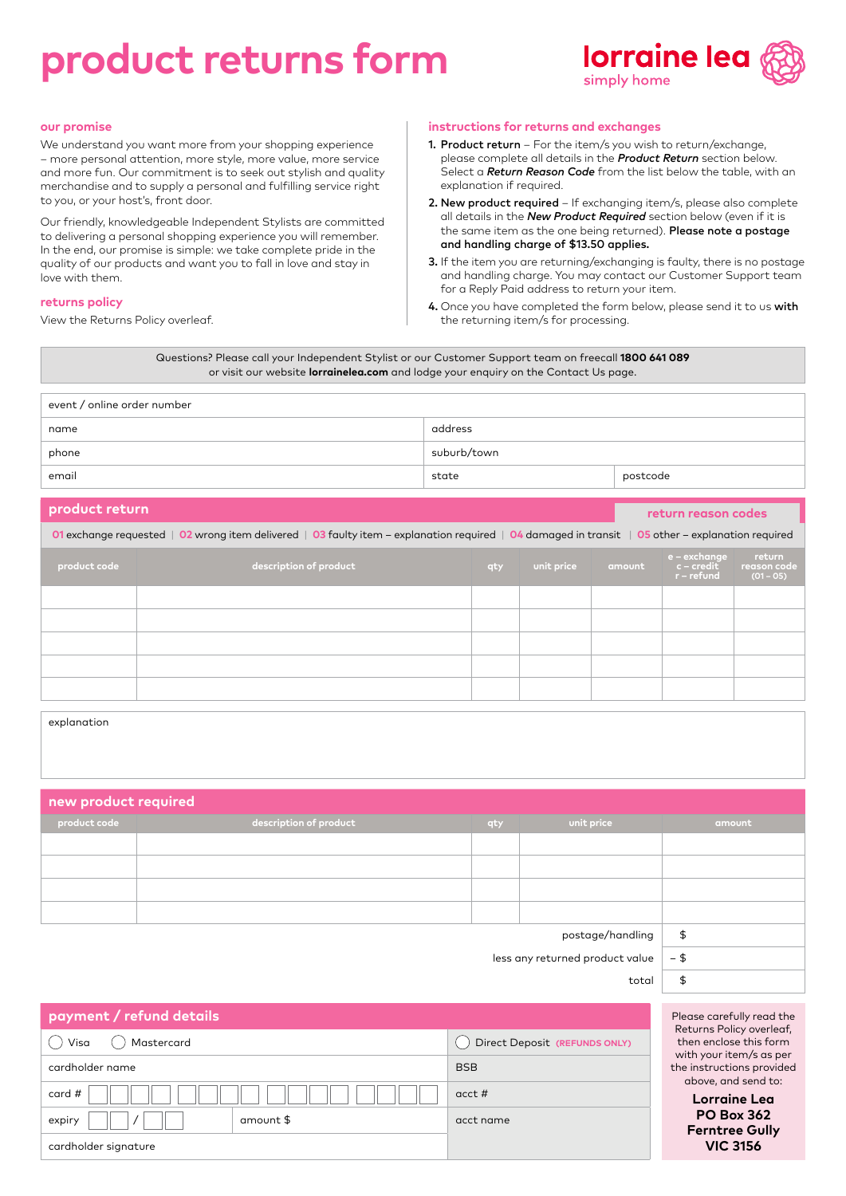# **product returns form**



#### **our promise**

We understand you want more from your shopping experience – more personal attention, more style, more value, more service and more fun. Our commitment is to seek out stylish and quality merchandise and to supply a personal and fulfilling service right to you, or your host's, front door.

Our friendly, knowledgeable Independent Stylists are committed to delivering a personal shopping experience you will remember. In the end, our promise is simple: we take complete pride in the quality of our products and want you to fall in love and stay in love with them.

#### **returns policy**

View the Returns Policy overleaf.

#### **instructions for returns and exchanges**

- 1. Product return For the item/s you wish to return/exchange, please complete all details in the *Product Return* section below. Select a *Return Reason Code* from the list below the table, with an explanation if required.
- 2. New product required If exchanging item/s, please also complete all details in the *New Product Required* section below (even if it is the same item as the one being returned). Please note a postage and handling charge of \$13.50 applies.
- 3. If the item you are returning/exchanging is faulty, there is no postage and handling charge. You may contact our Customer Support team for a Reply Paid address to return your item.
- 4. Once you have completed the form below, please send it to us with the returning item/s for processing.

Questions? Please call your Independent Stylist or our Customer Support team on freecall **1800 641 089** or visit our website **lorrainelea.com** and lodge your enquiry on the Contact Us page.

| event / online order number |             |          |  |  |
|-----------------------------|-------------|----------|--|--|
| name                        | address     |          |  |  |
| phone                       | suburb/town |          |  |  |
| email                       | state       | postcode |  |  |

| product return                                                                                                                                    |                        |     |            |        | return reason codes                                           |                                      |
|---------------------------------------------------------------------------------------------------------------------------------------------------|------------------------|-----|------------|--------|---------------------------------------------------------------|--------------------------------------|
| 01 exchange requested   02 wrong item delivered   03 faulty item – explanation required   04 damaged in transit   05 other – explanation required |                        |     |            |        |                                                               |                                      |
| product code                                                                                                                                      | description of product | qty | unit price | amount | e – exchange<br>$c$ – $\operatorname{credit}$<br>$r$ – refund | return<br>reason code<br>$(01 - 05)$ |
|                                                                                                                                                   |                        |     |            |        |                                                               |                                      |
|                                                                                                                                                   |                        |     |            |        |                                                               |                                      |
|                                                                                                                                                   |                        |     |            |        |                                                               |                                      |
|                                                                                                                                                   |                        |     |            |        |                                                               |                                      |
|                                                                                                                                                   |                        |     |            |        |                                                               |                                      |

| explanation                        |                        |     |            |        |
|------------------------------------|------------------------|-----|------------|--------|
|                                    |                        |     |            |        |
|                                    |                        |     |            |        |
| $\mid$ new product required $\mid$ |                        |     |            |        |
| product code                       | description of product | qty | unit price | amount |
|                                    |                        |     |            |        |

|                       | ___ | .<br>. |  |
|-----------------------|-----|--------|--|
|                       |     |        |  |
|                       |     |        |  |
|                       |     |        |  |
|                       |     |        |  |
| $postage/handling$ \$ |     |        |  |

less any returned product value  $\vert -$  \$

total – \$

Please carefully read the Returns Policy overleaf, then enclose this form with your item/s as per the instructions provided above, and send to:

> **Lorraine Lea PO Box 362 Ferntree Gully VIC 3156**

| payment / refund details |           |                               |  |  |
|--------------------------|-----------|-------------------------------|--|--|
| Visa<br>Mastercard       |           | Direct Deposit (REFUNDS ONLY) |  |  |
| cardholder name          |           | <b>BSB</b>                    |  |  |
| card #                   |           | $acct \#$                     |  |  |
| expiry                   | amount \$ | acct name                     |  |  |
| cardholder signature     |           |                               |  |  |